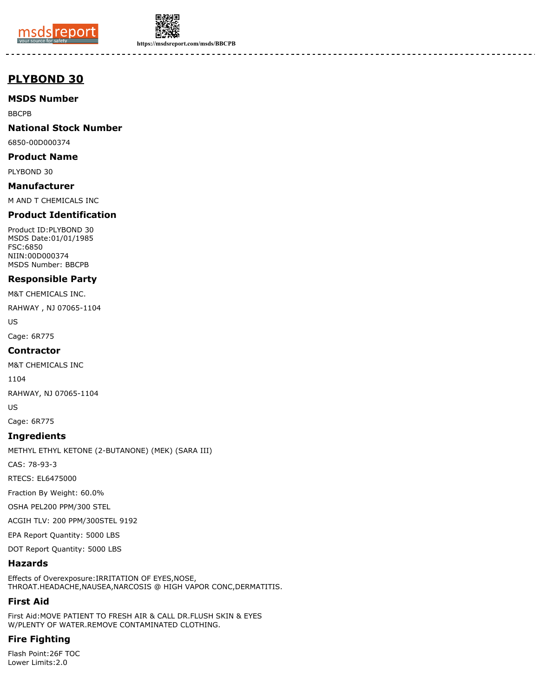



**https://msdsreport.com/msds/BBCPB**

# **PLYBOND 30**

### **MSDS Number**

BBCPB

#### **National Stock Number**

6850-00D000374

#### **Product Name**

PLYBOND 30

#### **Manufacturer**

M AND T CHEMICALS INC

# **Product Identification**

Product ID:PLYBOND 30 MSDS Date:01/01/1985 FSC:6850 NIIN:00D000374 MSDS Number: BBCPB

#### **Responsible Party**

M&T CHEMICALS INC.

RAHWAY , NJ 07065-1104

US

Cage: 6R775

#### **Contractor**

M&T CHEMICALS INC

1104

RAHWAY, NJ 07065-1104

US

Cage: 6R775

#### **Ingredients**

METHYL ETHYL KETONE (2-BUTANONE) (MEK) (SARA III)

CAS: 78-93-3

RTECS: EL6475000

Fraction By Weight: 60.0%

OSHA PEL200 PPM/300 STEL

ACGIH TLV: 200 PPM/300STEL 9192

EPA Report Quantity: 5000 LBS

DOT Report Quantity: 5000 LBS

#### **Hazards**

Effects of Overexposure:IRRITATION OF EYES,NOSE, THROAT.HEADACHE,NAUSEA,NARCOSIS @ HIGH VAPOR CONC,DERMATITIS.

# **First Aid**

First Aid:MOVE PATIENT TO FRESH AIR & CALL DR.FLUSH SKIN & EYES W/PLENTY OF WATER.REMOVE CONTAMINATED CLOTHING.

# **Fire Fighting**

Flash Point:26F TOC Lower Limits:2.0